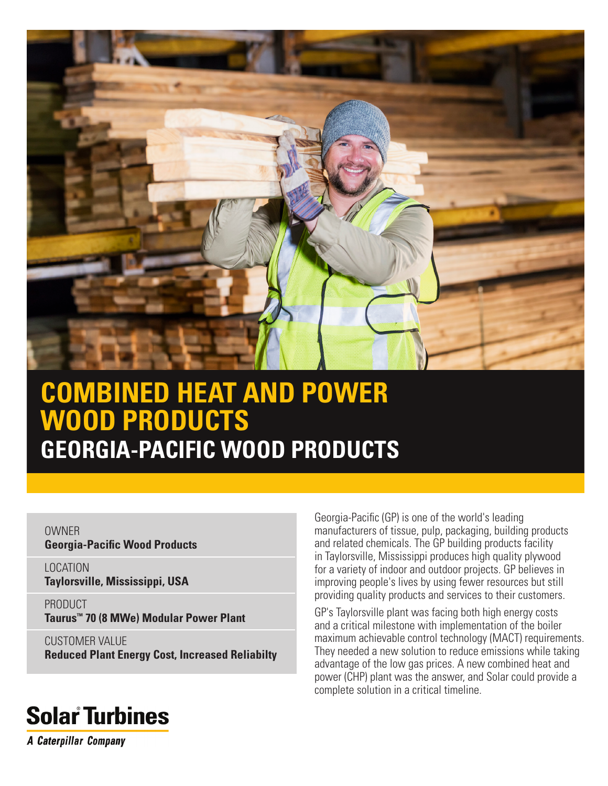

## **COMBINED HEAT AND POWER WOOD PRODUCTS GEORGIA-PACIFIC WOOD PRODUCTS**

**OWNER Georgia-Pacific Wood Products**

LOCATION **Taylorsville, Mississippi, USA**

PRODUCT **Taurus™ 70 (8 MWe) Modular Power Plant**

CUSTOMER VALUE **Reduced Plant Energy Cost, Increased Reliabilty** Georgia-Pacific (GP) is one of the world's leading manufacturers of tissue, pulp, packaging, building products and related chemicals. The GP building products facility in Taylorsville, Mississippi produces high quality plywood for a variety of indoor and outdoor projects. GP believes in improving people's lives by using fewer resources but still providing quality products and services to their customers.

GP's Taylorsville plant was facing both high energy costs and a critical milestone with implementation of the boiler maximum achievable control technology (MACT) requirements. They needed a new solution to reduce emissions while taking advantage of the low gas prices. A new combined heat and power (CHP) plant was the answer, and Solar could provide a complete solution in a critical timeline.

# **Solar Turbines**

**A Caterpillar Company**